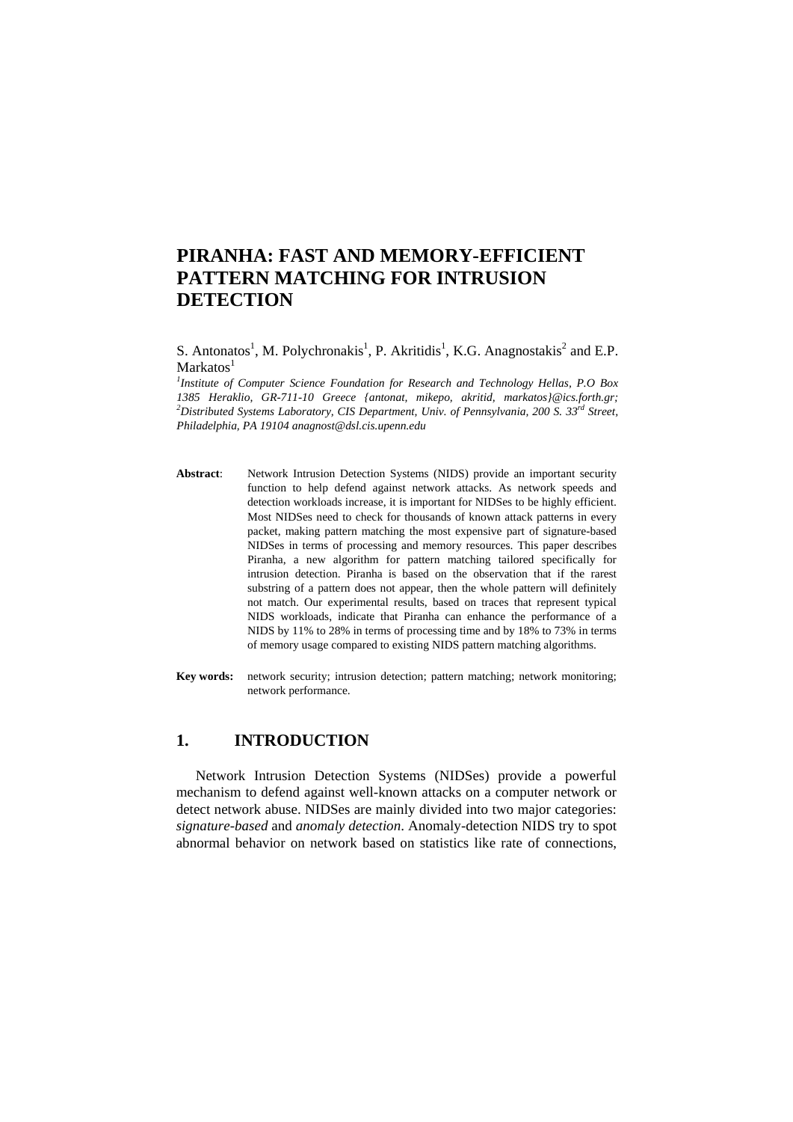# **PIRANHA: FAST AND MEMORY-EFFICIENT PATTERN MATCHING FOR INTRUSION DETECTION**

S. Antonatos<sup>1</sup>, M. Polychronakis<sup>1</sup>, P. Akritidis<sup>1</sup>, K.G. Anagnostakis<sup>2</sup> and E.P. Markatos<sup>1</sup>

*1 Institute of Computer Science Foundation for Research and Technology Hellas, P.O Box 1385 Heraklio, GR-711-10 Greece {antonat, mikepo, akritid, markatos}@ics.forth.gr; 2 Distributed Systems Laboratory, CIS Department, Univ. of Pennsylvania, 200 S. 33rd Street, Philadelphia, PA 19104 anagnost@dsl.cis.upenn.edu* 

- **Abstract**: Network Intrusion Detection Systems (NIDS) provide an important security function to help defend against network attacks. As network speeds and detection workloads increase, it is important for NIDSes to be highly efficient. Most NIDSes need to check for thousands of known attack patterns in every packet, making pattern matching the most expensive part of signature-based NIDSes in terms of processing and memory resources. This paper describes Piranha, a new algorithm for pattern matching tailored specifically for intrusion detection. Piranha is based on the observation that if the rarest substring of a pattern does not appear, then the whole pattern will definitely not match. Our experimental results, based on traces that represent typical NIDS workloads, indicate that Piranha can enhance the performance of a NIDS by 11% to 28% in terms of processing time and by 18% to 73% in terms of memory usage compared to existing NIDS pattern matching algorithms.
- **Key words:** network security; intrusion detection; pattern matching; network monitoring; network performance.

### **1. INTRODUCTION**

Network Intrusion Detection Systems (NIDSes) provide a powerful mechanism to defend against well-known attacks on a computer network or detect network abuse. NIDSes are mainly divided into two major categories: *signature-based* and *anomaly detection*. Anomaly-detection NIDS try to spot abnormal behavior on network based on statistics like rate of connections,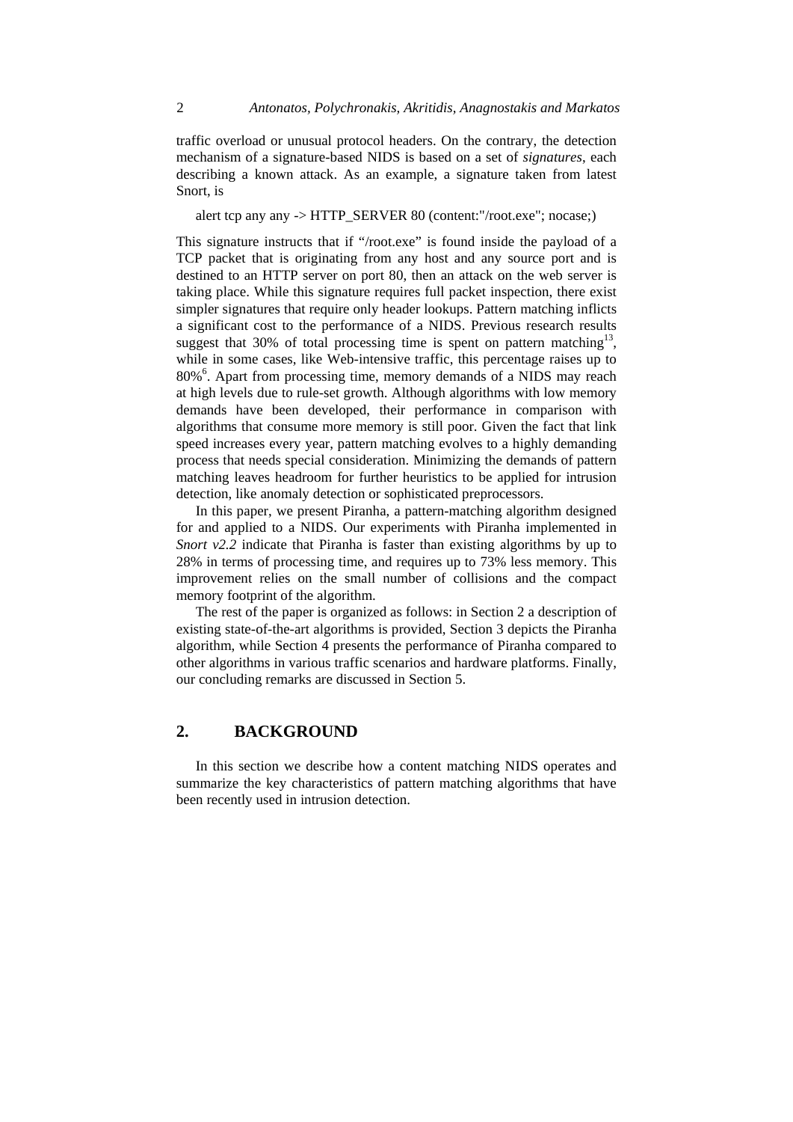traffic overload or unusual protocol headers. On the contrary, the detection mechanism of a signature-based NIDS is based on a set of *signatures*, each describing a known attack. As an example, a signature taken from latest Snort, is

alert tcp any any -> HTTP\_SERVER 80 (content:"/root.exe"; nocase;)

This signature instructs that if "/root.exe" is found inside the payload of a TCP packet that is originating from any host and any source port and is destined to an HTTP server on port 80, then an attack on the web server is taking place. While this signature requires full packet inspection, there exist simpler signatures that require only header lookups. Pattern matching inflicts a significant cost to the performance of a NIDS. Previous research results suggest that 30% of total processing time is spent on pattern matching<sup>13</sup>, while in some cases, like Web-intensive traffic, this percentage raises up to 80%6 . Apart from processing time, memory demands of a NIDS may reach at high levels due to rule-set growth. Although algorithms with low memory demands have been developed, their performance in comparison with algorithms that consume more memory is still poor. Given the fact that link speed increases every year, pattern matching evolves to a highly demanding process that needs special consideration. Minimizing the demands of pattern matching leaves headroom for further heuristics to be applied for intrusion detection, like anomaly detection or sophisticated preprocessors.

In this paper, we present Piranha, a pattern-matching algorithm designed for and applied to a NIDS. Our experiments with Piranha implemented in *Snort v2.2* indicate that Piranha is faster than existing algorithms by up to 28% in terms of processing time, and requires up to 73% less memory. This improvement relies on the small number of collisions and the compact memory footprint of the algorithm.

The rest of the paper is organized as follows: in Section 2 a description of existing state-of-the-art algorithms is provided, Section 3 depicts the Piranha algorithm, while Section 4 presents the performance of Piranha compared to other algorithms in various traffic scenarios and hardware platforms. Finally, our concluding remarks are discussed in Section 5.

### **2. BACKGROUND**

In this section we describe how a content matching NIDS operates and summarize the key characteristics of pattern matching algorithms that have been recently used in intrusion detection.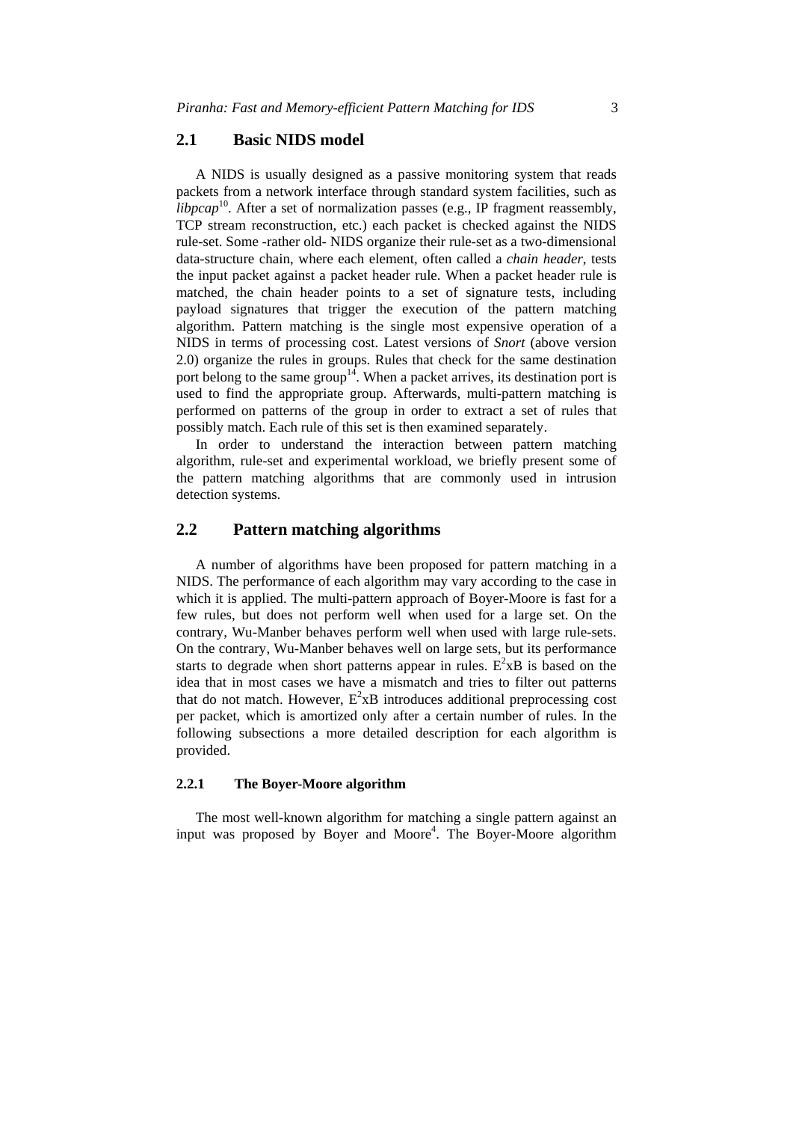## **2.1 Basic NIDS model**

A NIDS is usually designed as a passive monitoring system that reads packets from a network interface through standard system facilities, such as *libpcap*<sup>10</sup>. After a set of normalization passes (e.g., IP fragment reassembly, TCP stream reconstruction, etc.) each packet is checked against the NIDS rule-set. Some -rather old- NIDS organize their rule-set as a two-dimensional data-structure chain, where each element, often called a *chain header*, tests the input packet against a packet header rule. When a packet header rule is matched, the chain header points to a set of signature tests, including payload signatures that trigger the execution of the pattern matching algorithm. Pattern matching is the single most expensive operation of a NIDS in terms of processing cost. Latest versions of *Snort* (above version 2.0) organize the rules in groups. Rules that check for the same destination port belong to the same group<sup> $14$ </sup>. When a packet arrives, its destination port is used to find the appropriate group. Afterwards, multi-pattern matching is performed on patterns of the group in order to extract a set of rules that possibly match. Each rule of this set is then examined separately.

In order to understand the interaction between pattern matching algorithm, rule-set and experimental workload, we briefly present some of the pattern matching algorithms that are commonly used in intrusion detection systems.

## **2.2 Pattern matching algorithms**

A number of algorithms have been proposed for pattern matching in a NIDS. The performance of each algorithm may vary according to the case in which it is applied. The multi-pattern approach of Boyer-Moore is fast for a few rules, but does not perform well when used for a large set. On the contrary, Wu-Manber behaves perform well when used with large rule-sets. On the contrary, Wu-Manber behaves well on large sets, but its performance starts to degrade when short patterns appear in rules.  $E^2xB$  is based on the idea that in most cases we have a mismatch and tries to filter out patterns that do not match. However,  $E^2xB$  introduces additional preprocessing cost per packet, which is amortized only after a certain number of rules. In the following subsections a more detailed description for each algorithm is provided.

#### **2.2.1 The Boyer-Moore algorithm**

The most well-known algorithm for matching a single pattern against an input was proposed by Boyer and Moore<sup>4</sup>. The Boyer-Moore algorithm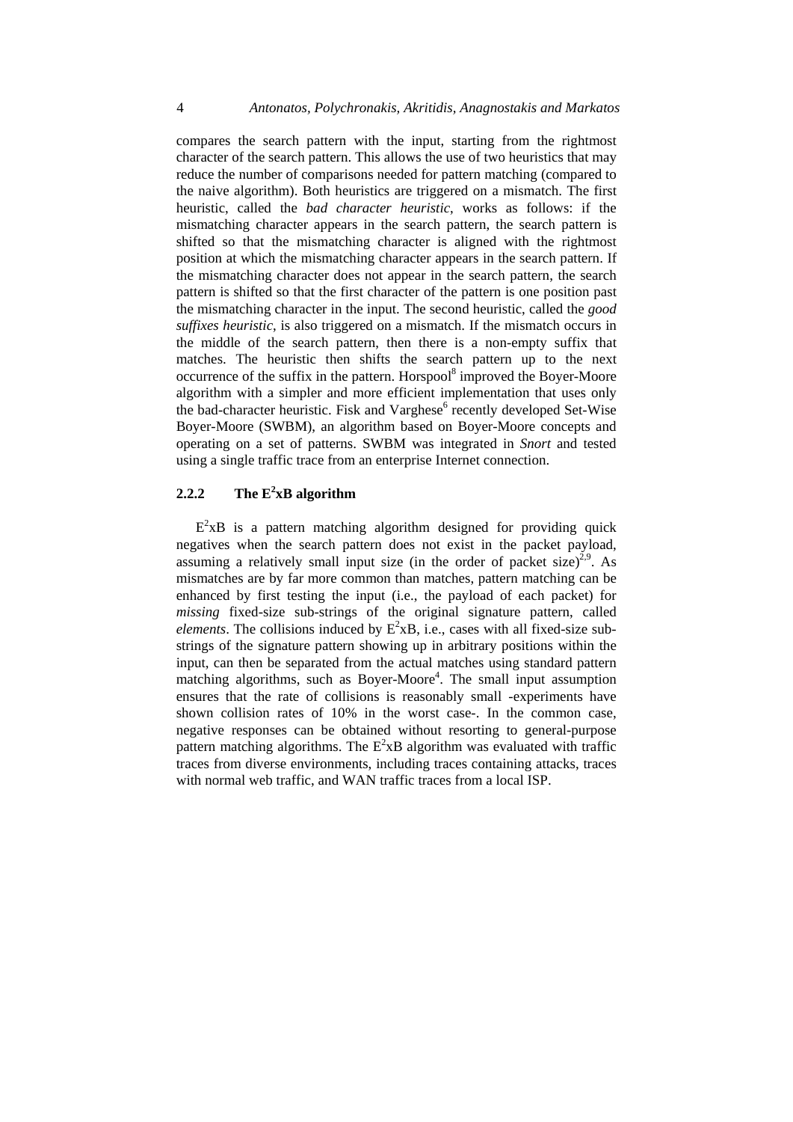compares the search pattern with the input, starting from the rightmost character of the search pattern. This allows the use of two heuristics that may reduce the number of comparisons needed for pattern matching (compared to the naive algorithm). Both heuristics are triggered on a mismatch. The first heuristic, called the *bad character heuristic*, works as follows: if the mismatching character appears in the search pattern, the search pattern is shifted so that the mismatching character is aligned with the rightmost position at which the mismatching character appears in the search pattern. If the mismatching character does not appear in the search pattern, the search pattern is shifted so that the first character of the pattern is one position past the mismatching character in the input. The second heuristic, called the *good suffixes heuristic*, is also triggered on a mismatch. If the mismatch occurs in the middle of the search pattern, then there is a non-empty suffix that matches. The heuristic then shifts the search pattern up to the next occurrence of the suffix in the pattern. Horspool<sup>8</sup> improved the Boyer-Moore algorithm with a simpler and more efficient implementation that uses only the bad-character heuristic. Fisk and Varghese<sup>6</sup> recently developed Set-Wise Boyer-Moore (SWBM), an algorithm based on Boyer-Moore concepts and operating on a set of patterns. SWBM was integrated in *Snort* and tested using a single traffic trace from an enterprise Internet connection.

## **2.2.2 The E<sup>2</sup> xB algorithm**

 $E^2$ xB is a pattern matching algorithm designed for providing quick negatives when the search pattern does not exist in the packet payload, assuming a relatively small input size (in the order of packet size)<sup>2,9</sup>. As mismatches are by far more common than matches, pattern matching can be enhanced by first testing the input (i.e., the payload of each packet) for *missing* fixed-size sub-strings of the original signature pattern, called *elements*. The collisions induced by  $E^2xB$ , i.e., cases with all fixed-size substrings of the signature pattern showing up in arbitrary positions within the input, can then be separated from the actual matches using standard pattern matching algorithms, such as Boyer-Moore<sup>4</sup>. The small input assumption ensures that the rate of collisions is reasonably small -experiments have shown collision rates of 10% in the worst case-. In the common case, negative responses can be obtained without resorting to general-purpose pattern matching algorithms. The  $E^2xB$  algorithm was evaluated with traffic traces from diverse environments, including traces containing attacks, traces with normal web traffic, and WAN traffic traces from a local ISP.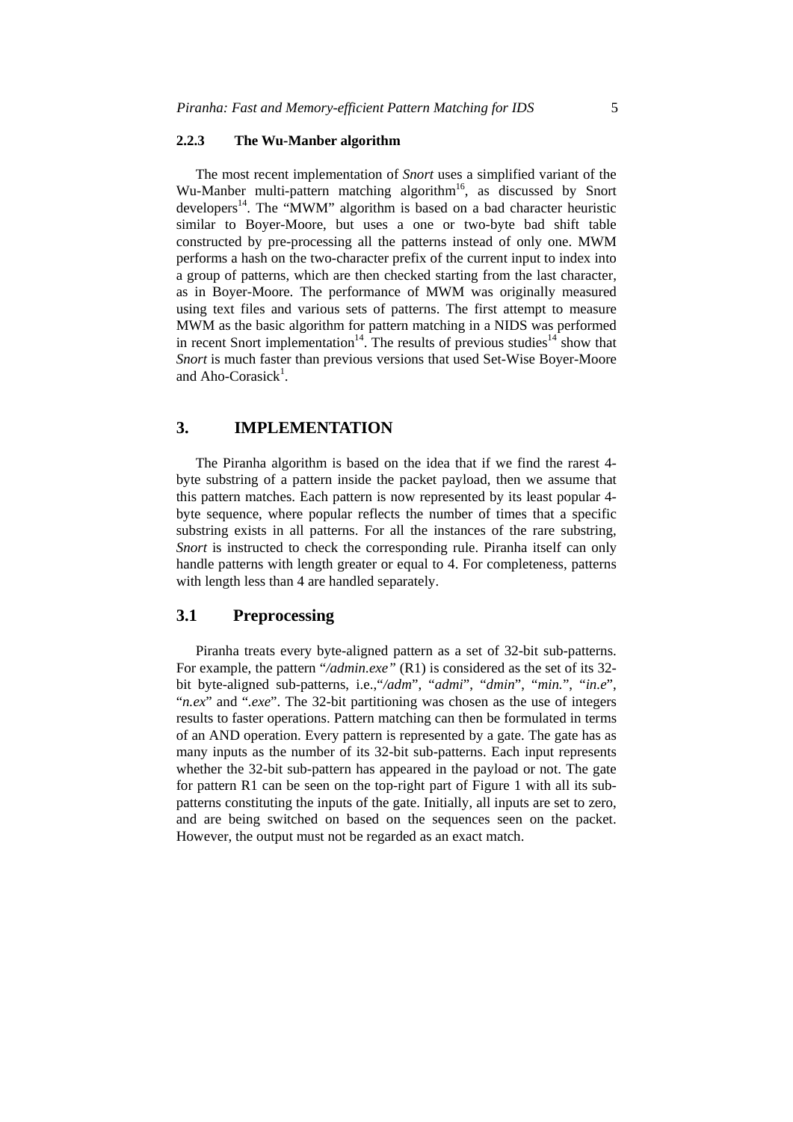#### **2.2.3 The Wu-Manber algorithm**

The most recent implementation of *Snort* uses a simplified variant of the Wu-Manber multi-pattern matching algorithm<sup>16</sup>, as discussed by Snort  $developers<sup>14</sup>$ . The "MWM" algorithm is based on a bad character heuristic similar to Boyer-Moore, but uses a one or two-byte bad shift table constructed by pre-processing all the patterns instead of only one. MWM performs a hash on the two-character prefix of the current input to index into a group of patterns, which are then checked starting from the last character, as in Boyer-Moore. The performance of MWM was originally measured using text files and various sets of patterns. The first attempt to measure MWM as the basic algorithm for pattern matching in a NIDS was performed in recent Snort implementation<sup>14</sup>. The results of previous studies<sup>14</sup> show that *Snort* is much faster than previous versions that used Set-Wise Boyer-Moore and Aho-Corasick<sup>1</sup>.

#### **3. IMPLEMENTATION**

The Piranha algorithm is based on the idea that if we find the rarest 4 byte substring of a pattern inside the packet payload, then we assume that this pattern matches. Each pattern is now represented by its least popular 4 byte sequence, where popular reflects the number of times that a specific substring exists in all patterns. For all the instances of the rare substring, *Snort* is instructed to check the corresponding rule. Piranha itself can only handle patterns with length greater or equal to 4. For completeness, patterns with length less than 4 are handled separately.

#### **3.1 Preprocessing**

Piranha treats every byte-aligned pattern as a set of 32-bit sub-patterns. For example, the pattern "*/admin.exe"* (R1) is considered as the set of its 32 bit byte-aligned sub-patterns, i.e.,"*/adm*", "*admi*", "*dmin*", "*min.*", "*in.e*", "*n.ex*" and "*.exe*". The 32-bit partitioning was chosen as the use of integers results to faster operations. Pattern matching can then be formulated in terms of an AND operation. Every pattern is represented by a gate. The gate has as many inputs as the number of its 32-bit sub-patterns. Each input represents whether the 32-bit sub-pattern has appeared in the payload or not. The gate for pattern R1 can be seen on the top-right part of Figure 1 with all its subpatterns constituting the inputs of the gate. Initially, all inputs are set to zero, and are being switched on based on the sequences seen on the packet. However, the output must not be regarded as an exact match.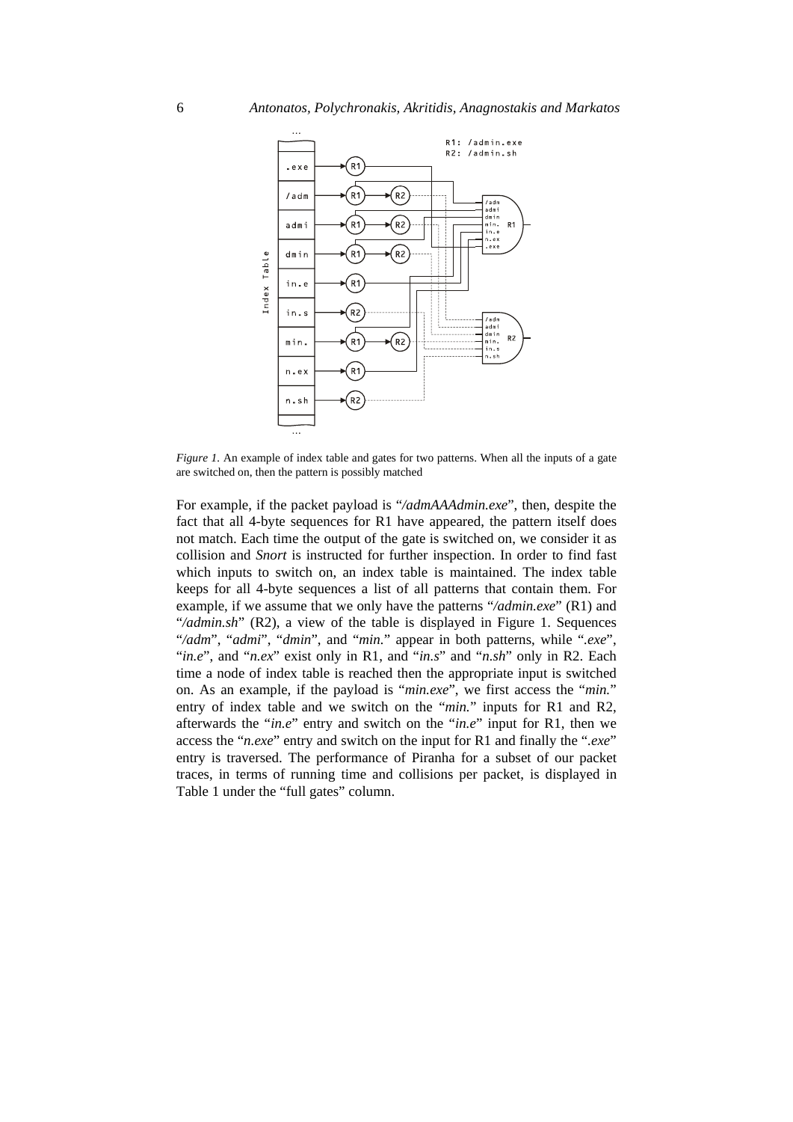

*Figure 1.* An example of index table and gates for two patterns. When all the inputs of a gate are switched on, then the pattern is possibly matched

For example, if the packet payload is "*/admAAAdmin.exe*", then, despite the fact that all 4-byte sequences for R1 have appeared, the pattern itself does not match. Each time the output of the gate is switched on, we consider it as collision and *Snort* is instructed for further inspection. In order to find fast which inputs to switch on, an index table is maintained. The index table keeps for all 4-byte sequences a list of all patterns that contain them. For example, if we assume that we only have the patterns "*/admin.exe*" (R1) and "*/admin.sh*" (R2), a view of the table is displayed in Figure 1. Sequences "*/adm*", "*admi*", "*dmin*", and "*min.*" appear in both patterns, while "*.exe*", "*in.e*", and "*n.ex*" exist only in R1, and "*in.s*" and "*n.sh*" only in R2. Each time a node of index table is reached then the appropriate input is switched on. As an example, if the payload is "*min.exe*", we first access the "*min.*" entry of index table and we switch on the "*min.*" inputs for R1 and R2, afterwards the "*in.e*" entry and switch on the "*in.e*" input for R1, then we access the "*n.exe*" entry and switch on the input for R1 and finally the "*.exe*" entry is traversed. The performance of Piranha for a subset of our packet traces, in terms of running time and collisions per packet, is displayed in Table 1 under the "full gates" column.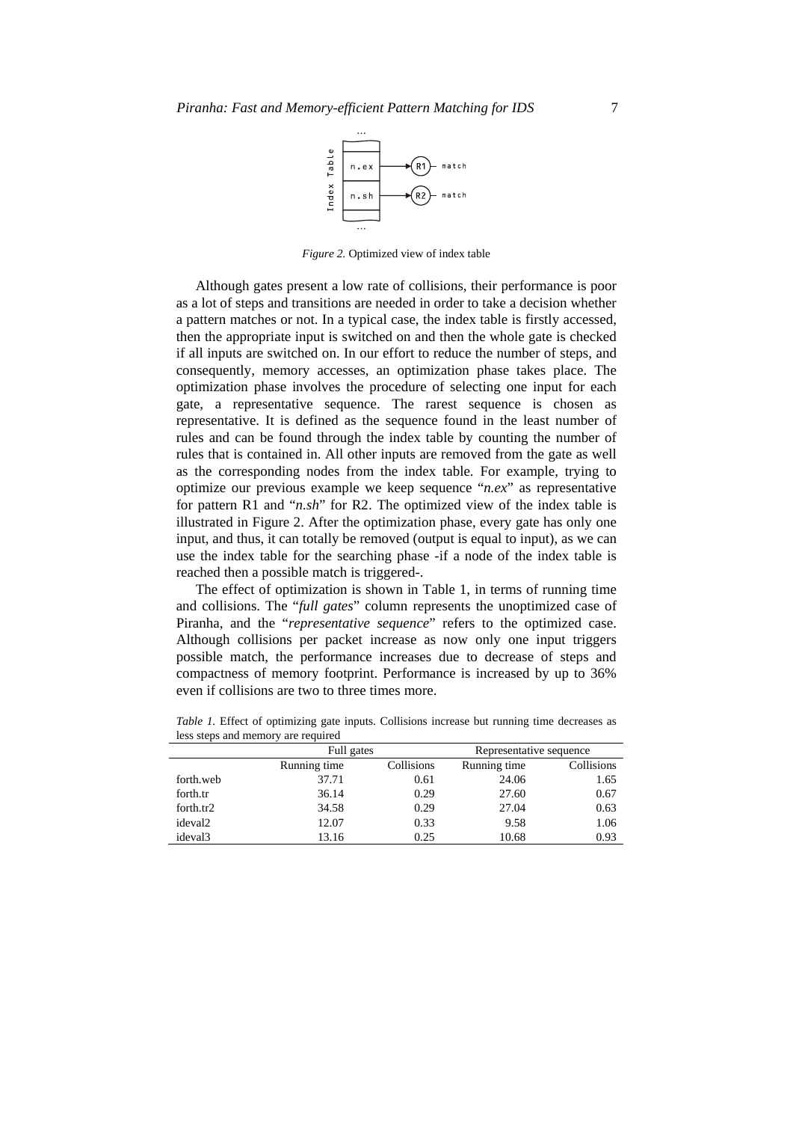

*Figure 2.* Optimized view of index table

Although gates present a low rate of collisions, their performance is poor as a lot of steps and transitions are needed in order to take a decision whether a pattern matches or not. In a typical case, the index table is firstly accessed, then the appropriate input is switched on and then the whole gate is checked if all inputs are switched on. In our effort to reduce the number of steps, and consequently, memory accesses, an optimization phase takes place. The optimization phase involves the procedure of selecting one input for each gate, a representative sequence. The rarest sequence is chosen as representative. It is defined as the sequence found in the least number of rules and can be found through the index table by counting the number of rules that is contained in. All other inputs are removed from the gate as well as the corresponding nodes from the index table. For example, trying to optimize our previous example we keep sequence "*n.ex*" as representative for pattern R1 and "*n.sh*" for R2. The optimized view of the index table is illustrated in Figure 2. After the optimization phase, every gate has only one input, and thus, it can totally be removed (output is equal to input), as we can use the index table for the searching phase -if a node of the index table is reached then a possible match is triggered-.

The effect of optimization is shown in Table 1, in terms of running time and collisions. The "*full gates*" column represents the unoptimized case of Piranha, and the "*representative sequence*" refers to the optimized case. Although collisions per packet increase as now only one input triggers possible match, the performance increases due to decrease of steps and compactness of memory footprint. Performance is increased by up to 36% even if collisions are two to three times more.

| ress steps and memory are required |              |            |                         |            |  |  |  |
|------------------------------------|--------------|------------|-------------------------|------------|--|--|--|
|                                    | Full gates   |            | Representative sequence |            |  |  |  |
|                                    | Running time | Collisions | Running time            | Collisions |  |  |  |
| forth.web                          | 37.71        | 0.61       | 24.06                   | 1.65       |  |  |  |
| forth.tr                           | 36.14        | 0.29       | 27.60                   | 0.67       |  |  |  |
| forth.tr2                          | 34.58        | 0.29       | 27.04                   | 0.63       |  |  |  |
| ideval <sub>2</sub>                | 12.07        | 0.33       | 9.58                    | 1.06       |  |  |  |
| ideval <sub>3</sub>                | 13.16        | 0.25       | 10.68                   | 0.93       |  |  |  |
|                                    |              |            |                         |            |  |  |  |

*Table 1.* Effect of optimizing gate inputs. Collisions increase but running time decreases as less steps and memory are required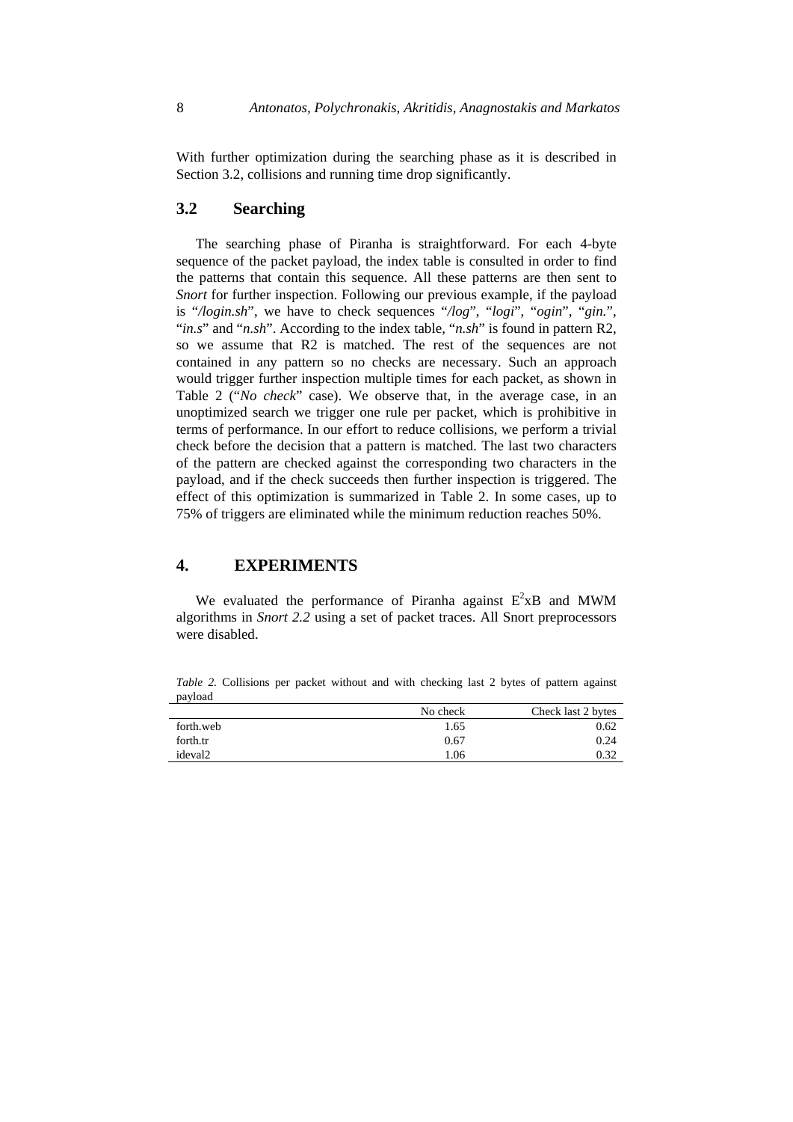With further optimization during the searching phase as it is described in Section 3.2, collisions and running time drop significantly.

#### **3.2 Searching**

The searching phase of Piranha is straightforward. For each 4-byte sequence of the packet payload, the index table is consulted in order to find the patterns that contain this sequence. All these patterns are then sent to *Snort* for further inspection. Following our previous example, if the payload is "*/login.sh*", we have to check sequences "*/log*", "*logi*", "*ogin*", "*gin.*", "*in.s*" and "*n.sh*". According to the index table, "*n.sh*" is found in pattern R2, so we assume that R2 is matched. The rest of the sequences are not contained in any pattern so no checks are necessary. Such an approach would trigger further inspection multiple times for each packet, as shown in Table 2 ("*No check*" case). We observe that, in the average case, in an unoptimized search we trigger one rule per packet, which is prohibitive in terms of performance. In our effort to reduce collisions, we perform a trivial check before the decision that a pattern is matched. The last two characters of the pattern are checked against the corresponding two characters in the payload, and if the check succeeds then further inspection is triggered. The effect of this optimization is summarized in Table 2. In some cases, up to 75% of triggers are eliminated while the minimum reduction reaches 50%.

## **4. EXPERIMENTS**

We evaluated the performance of Piranha against  $E^2xB$  and MWM algorithms in *Snort 2.2* using a set of packet traces. All Snort preprocessors were disabled.

*Table 2.* Collisions per packet without and with checking last 2 bytes of pattern against payload

|                     | No check | Check last 2 bytes |
|---------------------|----------|--------------------|
| forth.web           | 1.65     | 0.62               |
| forth.tr            | 0.67     | 0.24               |
| ideval <sub>2</sub> | 1.06     | 0.32               |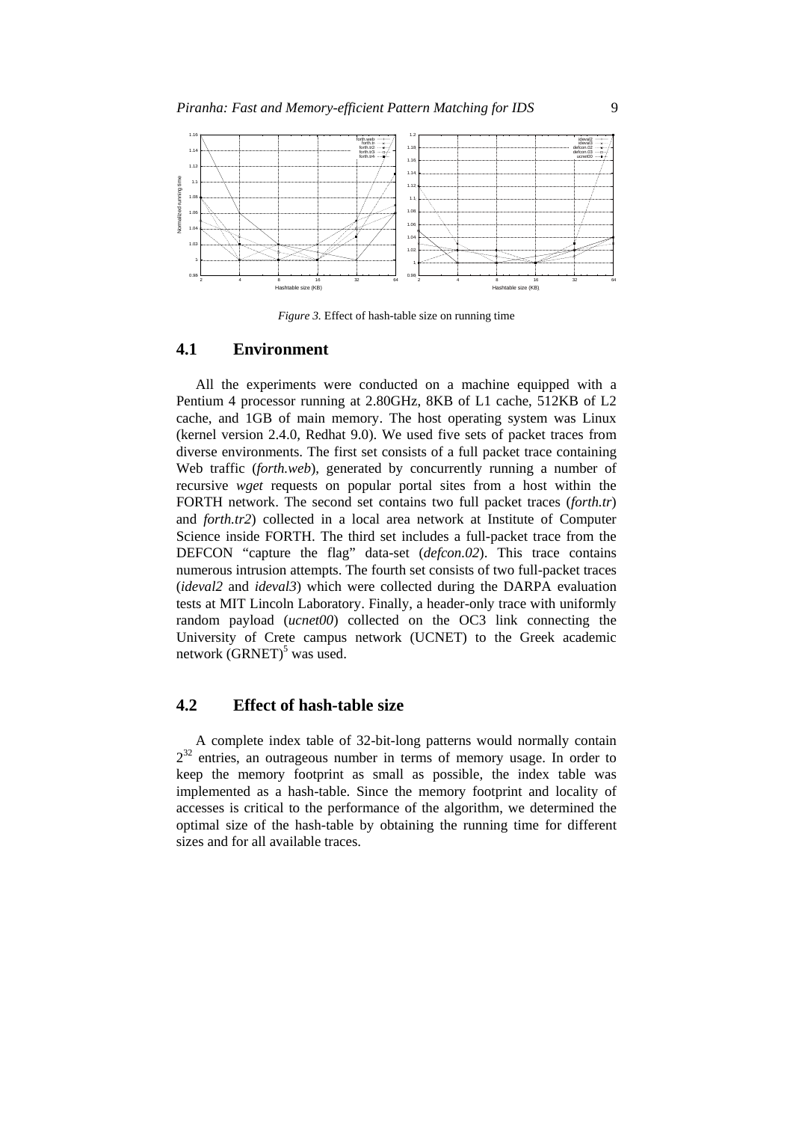

*Figure 3.* Effect of hash-table size on running time

# **4.1 Environment**

All the experiments were conducted on a machine equipped with a Pentium 4 processor running at 2.80GHz, 8KB of L1 cache, 512KB of L2 cache, and 1GB of main memory. The host operating system was Linux (kernel version 2.4.0, Redhat 9.0). We used five sets of packet traces from diverse environments. The first set consists of a full packet trace containing Web traffic (*forth.web*), generated by concurrently running a number of recursive *wget* requests on popular portal sites from a host within the FORTH network. The second set contains two full packet traces (*forth.tr*) and *forth.tr2*) collected in a local area network at Institute of Computer Science inside FORTH. The third set includes a full-packet trace from the DEFCON "capture the flag" data-set (*defcon.02*). This trace contains numerous intrusion attempts. The fourth set consists of two full-packet traces (*ideval2* and *ideval3*) which were collected during the DARPA evaluation tests at MIT Lincoln Laboratory. Finally, a header-only trace with uniformly random payload (*ucnet00*) collected on the OC3 link connecting the University of Crete campus network (UCNET) to the Greek academic network  $(GRNET)^5$  was used.

## **4.2 Effect of hash-table size**

A complete index table of 32-bit-long patterns would normally contain  $2^{32}$  entries, an outrageous number in terms of memory usage. In order to keep the memory footprint as small as possible, the index table was implemented as a hash-table. Since the memory footprint and locality of accesses is critical to the performance of the algorithm, we determined the optimal size of the hash-table by obtaining the running time for different sizes and for all available traces.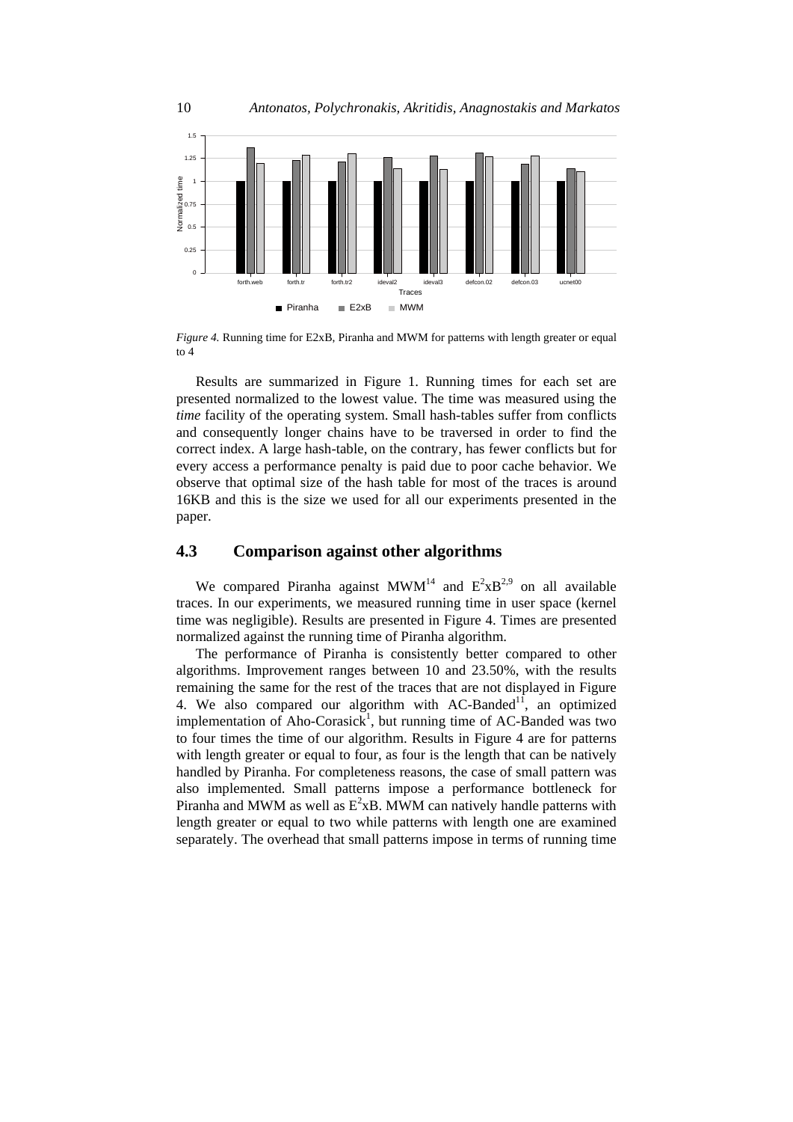

*Figure 4.* Running time for E2xB, Piranha and MWM for patterns with length greater or equal to 4

Results are summarized in Figure 1. Running times for each set are presented normalized to the lowest value. The time was measured using the *time* facility of the operating system. Small hash-tables suffer from conflicts and consequently longer chains have to be traversed in order to find the correct index. A large hash-table, on the contrary, has fewer conflicts but for every access a performance penalty is paid due to poor cache behavior. We observe that optimal size of the hash table for most of the traces is around 16KB and this is the size we used for all our experiments presented in the paper.

## **4.3 Comparison against other algorithms**

We compared Piranha against MWM<sup>14</sup> and  $E^2xB^{2,9}$  on all available traces. In our experiments, we measured running time in user space (kernel time was negligible). Results are presented in Figure 4. Times are presented normalized against the running time of Piranha algorithm.

The performance of Piranha is consistently better compared to other algorithms. Improvement ranges between 10 and 23.50%, with the results remaining the same for the rest of the traces that are not displayed in Figure 4. We also compared our algorithm with  $AC-Banded<sup>11</sup>$ , an optimized implementation of Aho-Corasick<sup>1</sup>, but running time of AC-Banded was two to four times the time of our algorithm. Results in Figure 4 are for patterns with length greater or equal to four, as four is the length that can be natively handled by Piranha. For completeness reasons, the case of small pattern was also implemented. Small patterns impose a performance bottleneck for Piranha and MWM as well as  $E^2xB$ . MWM can natively handle patterns with length greater or equal to two while patterns with length one are examined separately. The overhead that small patterns impose in terms of running time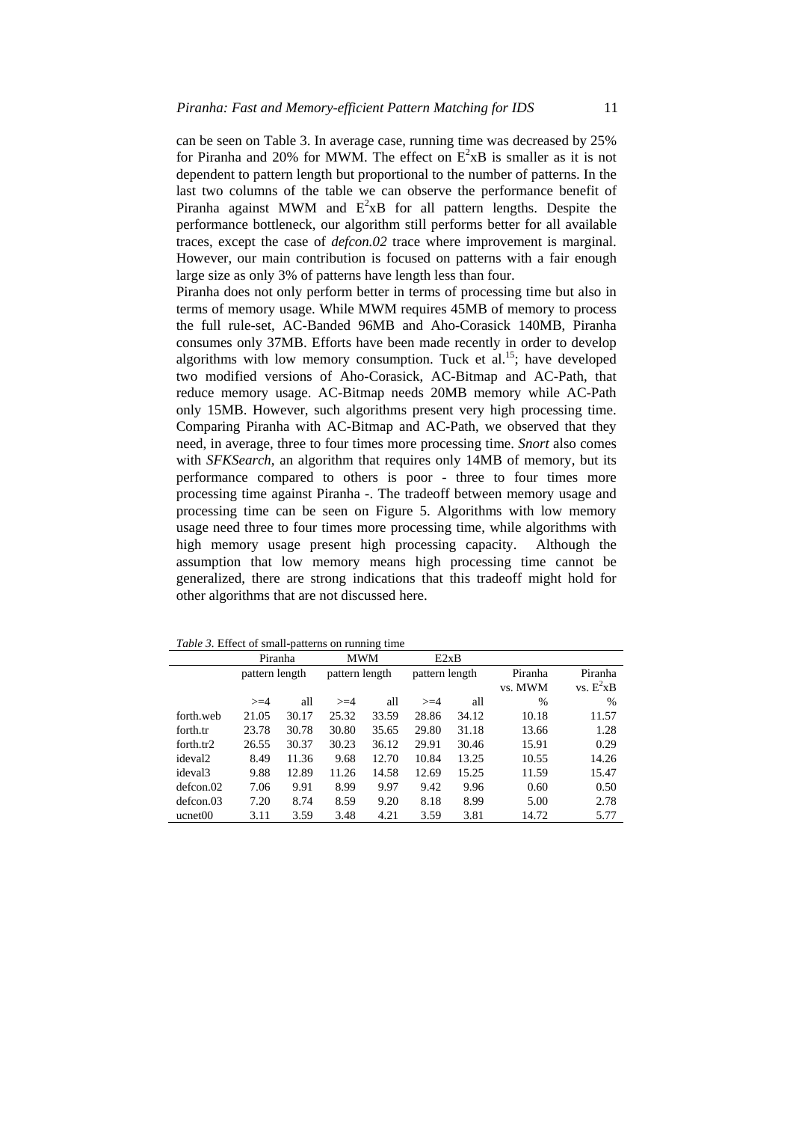can be seen on Table 3. In average case, running time was decreased by 25% for Piranha and 20% for MWM. The effect on  $E^2xB$  is smaller as it is not dependent to pattern length but proportional to the number of patterns. In the last two columns of the table we can observe the performance benefit of Piranha against MWM and  $E^2xB$  for all pattern lengths. Despite the performance bottleneck, our algorithm still performs better for all available traces, except the case of *defcon.02* trace where improvement is marginal. However, our main contribution is focused on patterns with a fair enough large size as only 3% of patterns have length less than four.

Piranha does not only perform better in terms of processing time but also in terms of memory usage. While MWM requires 45MB of memory to process the full rule-set, AC-Banded 96MB and Aho-Corasick 140MB, Piranha consumes only 37MB. Efforts have been made recently in order to develop algorithms with low memory consumption. Tuck et al.<sup>15</sup>; have developed two modified versions of Aho-Corasick, AC-Bitmap and AC-Path, that reduce memory usage. AC-Bitmap needs 20MB memory while AC-Path only 15MB. However, such algorithms present very high processing time. Comparing Piranha with AC-Bitmap and AC-Path, we observed that they need, in average, three to four times more processing time. *Snort* also comes with *SFKSearch*, an algorithm that requires only 14MB of memory, but its performance compared to others is poor - three to four times more processing time against Piranha -. The tradeoff between memory usage and processing time can be seen on Figure 5. Algorithms with low memory usage need three to four times more processing time, while algorithms with high memory usage present high processing capacity. Although the assumption that low memory means high processing time cannot be generalized, there are strong indications that this tradeoff might hold for other algorithms that are not discussed here.

|                     | Piranha        |       | <b>MWM</b>     |       | E2xB           |       |               |               |
|---------------------|----------------|-------|----------------|-------|----------------|-------|---------------|---------------|
|                     | pattern length |       | pattern length |       | pattern length |       | Piranha       | Piranha       |
|                     |                |       |                |       |                |       | vs. MWM       | vs. $E^2xB$   |
|                     | $>=$ 4         | all   | $>=$ 4         | all   | $>=$ 4         | all   | $\frac{0}{0}$ | $\frac{0}{0}$ |
| forth.web           | 21.05          | 30.17 | 25.32          | 33.59 | 28.86          | 34.12 | 10.18         | 11.57         |
| forth.tr            | 23.78          | 30.78 | 30.80          | 35.65 | 29.80          | 31.18 | 13.66         | 1.28          |
| forth.tr2           | 26.55          | 30.37 | 30.23          | 36.12 | 29.91          | 30.46 | 15.91         | 0.29          |
| ideval <sub>2</sub> | 8.49           | 11.36 | 9.68           | 12.70 | 10.84          | 13.25 | 10.55         | 14.26         |
| ideval <sub>3</sub> | 9.88           | 12.89 | 11.26          | 14.58 | 12.69          | 15.25 | 11.59         | 15.47         |
| defcon.02           | 7.06           | 9.91  | 8.99           | 9.97  | 9.42           | 9.96  | 0.60          | 0.50          |
| defcon.03           | 7.20           | 8.74  | 8.59           | 9.20  | 8.18           | 8.99  | 5.00          | 2.78          |
| ucnet00             | 3.11           | 3.59  | 3.48           | 4.21  | 3.59           | 3.81  | 14.72         | 5.77          |

*Table 3.* Effect of small-patterns on running time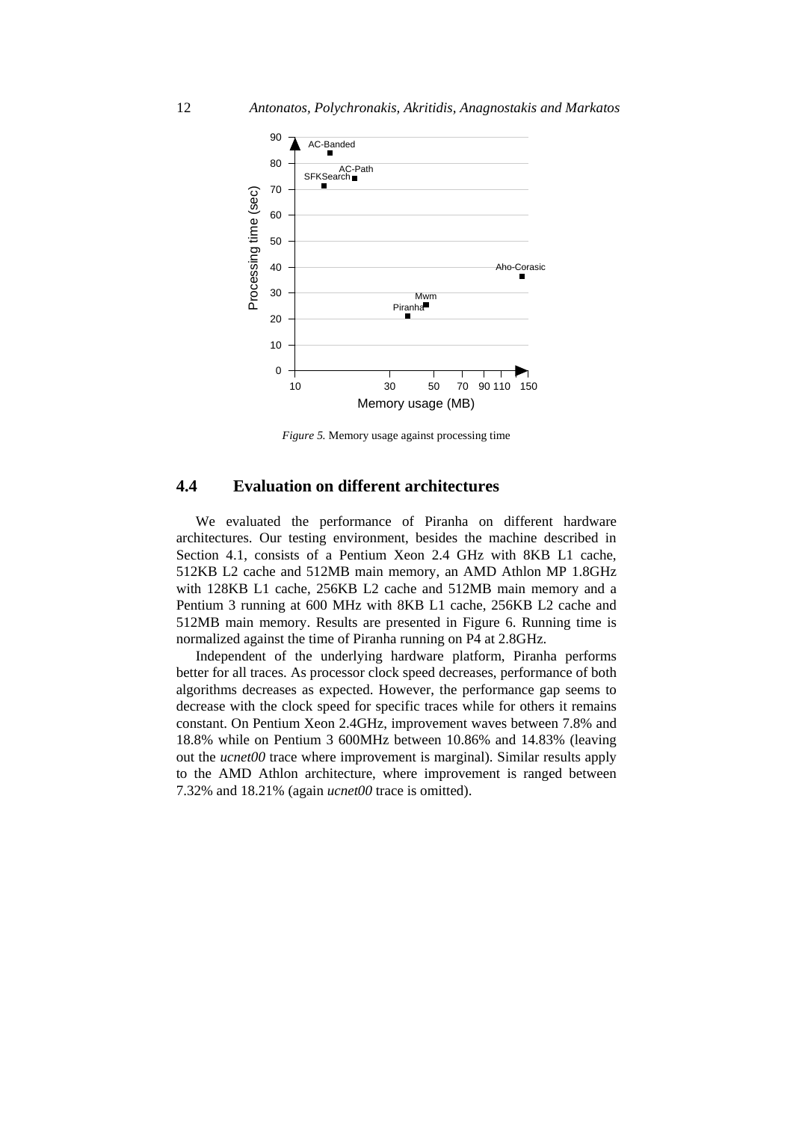

*Figure 5.* Memory usage against processing time

# **4.4 Evaluation on different architectures**

We evaluated the performance of Piranha on different hardware architectures. Our testing environment, besides the machine described in Section 4.1, consists of a Pentium Xeon 2.4 GHz with 8KB L1 cache, 512KB L2 cache and 512MB main memory, an AMD Athlon MP 1.8GHz with 128KB L1 cache, 256KB L2 cache and 512MB main memory and a Pentium 3 running at 600 MHz with 8KB L1 cache, 256KB L2 cache and 512MB main memory. Results are presented in Figure 6. Running time is normalized against the time of Piranha running on P4 at 2.8GHz.

Independent of the underlying hardware platform, Piranha performs better for all traces. As processor clock speed decreases, performance of both algorithms decreases as expected. However, the performance gap seems to decrease with the clock speed for specific traces while for others it remains constant. On Pentium Xeon 2.4GHz, improvement waves between 7.8% and 18.8% while on Pentium 3 600MHz between 10.86% and 14.83% (leaving out the *ucnet00* trace where improvement is marginal). Similar results apply to the AMD Athlon architecture, where improvement is ranged between 7.32% and 18.21% (again *ucnet00* trace is omitted).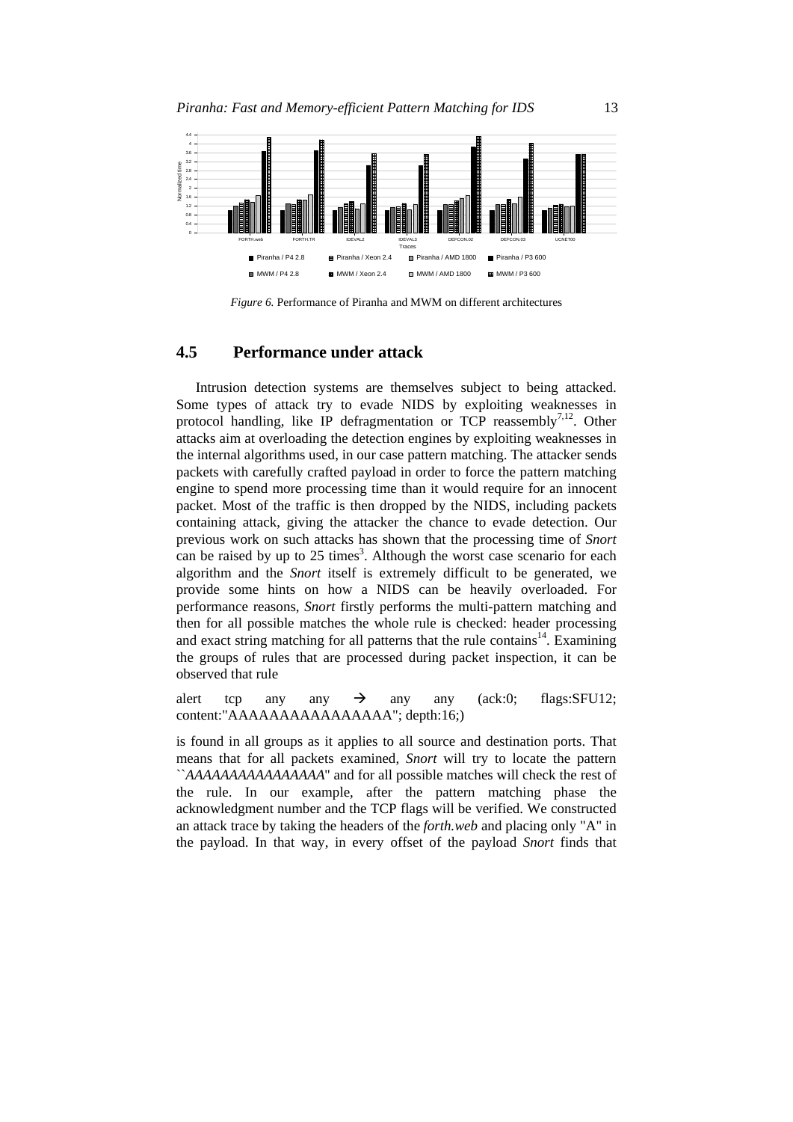

*Figure 6.* Performance of Piranha and MWM on different architectures

# **4.5 Performance under attack**

Intrusion detection systems are themselves subject to being attacked. Some types of attack try to evade NIDS by exploiting weaknesses in protocol handling, like IP defragmentation or TCP reassembly<sup>7,12</sup>. Other attacks aim at overloading the detection engines by exploiting weaknesses in the internal algorithms used, in our case pattern matching. The attacker sends packets with carefully crafted payload in order to force the pattern matching engine to spend more processing time than it would require for an innocent packet. Most of the traffic is then dropped by the NIDS, including packets containing attack, giving the attacker the chance to evade detection. Our previous work on such attacks has shown that the processing time of *Snort* can be raised by up to  $25 \text{ times}^3$ . Although the worst case scenario for each algorithm and the *Snort* itself is extremely difficult to be generated, we provide some hints on how a NIDS can be heavily overloaded. For performance reasons, *Snort* firstly performs the multi-pattern matching and then for all possible matches the whole rule is checked: header processing and exact string matching for all patterns that the rule contains<sup>14</sup>. Examining the groups of rules that are processed during packet inspection, it can be observed that rule

alert tcp any any  $\rightarrow$  any any (ack:0; flags:SFU12; content:"AAAAAAAAAAAAAAAA"; depth:16;)

is found in all groups as it applies to all source and destination ports. That means that for all packets examined, *Snort* will try to locate the pattern ``*AAAAAAAAAAAAAAAA*'' and for all possible matches will check the rest of the rule. In our example, after the pattern matching phase the acknowledgment number and the TCP flags will be verified. We constructed an attack trace by taking the headers of the *forth.web* and placing only "A" in the payload. In that way, in every offset of the payload *Snort* finds that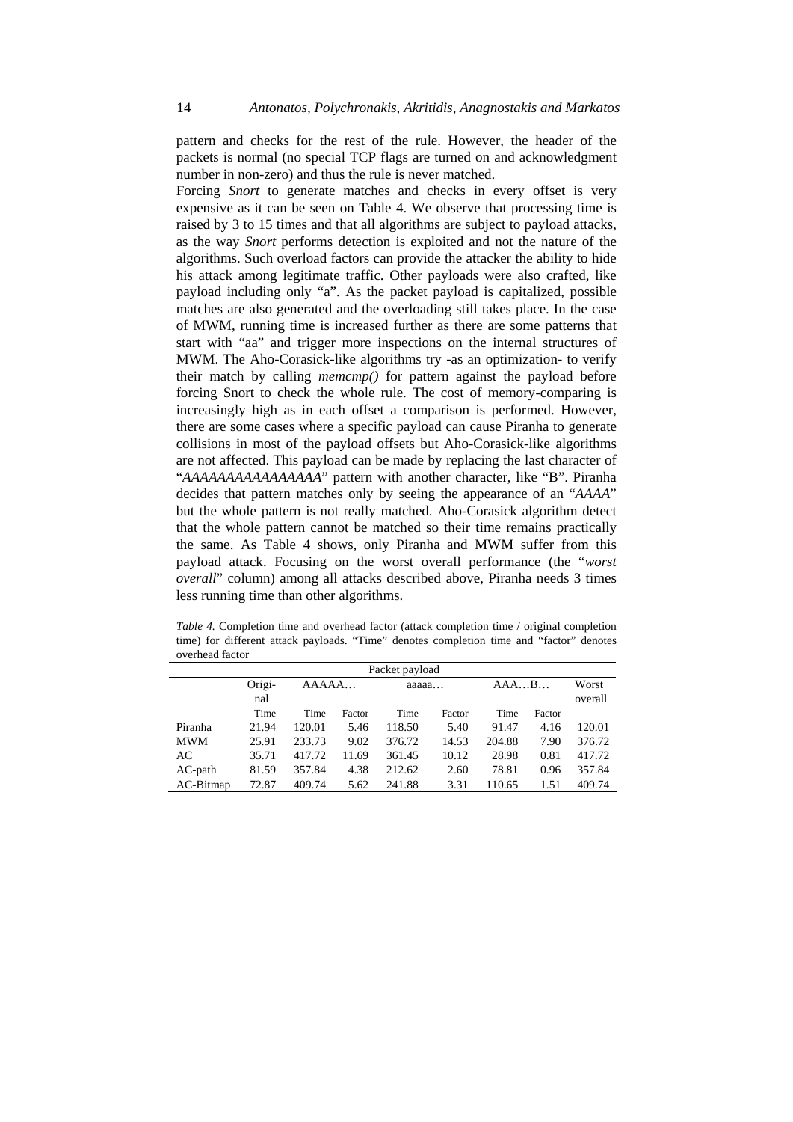pattern and checks for the rest of the rule. However, the header of the packets is normal (no special TCP flags are turned on and acknowledgment number in non-zero) and thus the rule is never matched.

Forcing *Snort* to generate matches and checks in every offset is very expensive as it can be seen on Table 4. We observe that processing time is raised by 3 to 15 times and that all algorithms are subject to payload attacks, as the way *Snort* performs detection is exploited and not the nature of the algorithms. Such overload factors can provide the attacker the ability to hide his attack among legitimate traffic. Other payloads were also crafted, like payload including only "a". As the packet payload is capitalized, possible matches are also generated and the overloading still takes place. In the case of MWM, running time is increased further as there are some patterns that start with "aa" and trigger more inspections on the internal structures of MWM. The Aho-Corasick-like algorithms try -as an optimization- to verify their match by calling *memcmp()* for pattern against the payload before forcing Snort to check the whole rule. The cost of memory-comparing is increasingly high as in each offset a comparison is performed. However, there are some cases where a specific payload can cause Piranha to generate collisions in most of the payload offsets but Aho-Corasick-like algorithms are not affected. This payload can be made by replacing the last character of "*AAAAAAAAAAAAAAAA*" pattern with another character, like "B". Piranha decides that pattern matches only by seeing the appearance of an "*AAAA*" but the whole pattern is not really matched. Aho-Corasick algorithm detect that the whole pattern cannot be matched so their time remains practically the same. As Table 4 shows, only Piranha and MWM suffer from this payload attack. Focusing on the worst overall performance (the "*worst overall*" column) among all attacks described above, Piranha needs 3 times less running time than other algorithms.

*Table 4.* Completion time and overhead factor (attack completion time / original completion time) for different attack payloads. "Time" denotes completion time and "factor" denotes overhead factor

| Packet payload |        |        |        |        |        |        |        |         |
|----------------|--------|--------|--------|--------|--------|--------|--------|---------|
|                | Origi- | AAAAA  |        | aaaaa  |        | AAAB   |        | Worst   |
|                | nal    |        |        |        |        |        |        | overall |
|                | Time   | Time   | Factor | Time   | Factor | Time   | Factor |         |
| Piranha        | 21.94  | 120.01 | 5.46   | 118.50 | 5.40   | 91.47  | 4.16   | 120.01  |
| <b>MWM</b>     | 25.91  | 233.73 | 9.02   | 376.72 | 14.53  | 204.88 | 7.90   | 376.72  |
| AC.            | 35.71  | 417.72 | 11.69  | 361.45 | 10.12  | 28.98  | 0.81   | 417.72  |
| $AC$ -path     | 81.59  | 357.84 | 4.38   | 212.62 | 2.60   | 78.81  | 0.96   | 357.84  |
| AC-Bitmap      | 72.87  | 409.74 | 5.62   | 241.88 | 3.31   | 110.65 | 1.51   | 409.74  |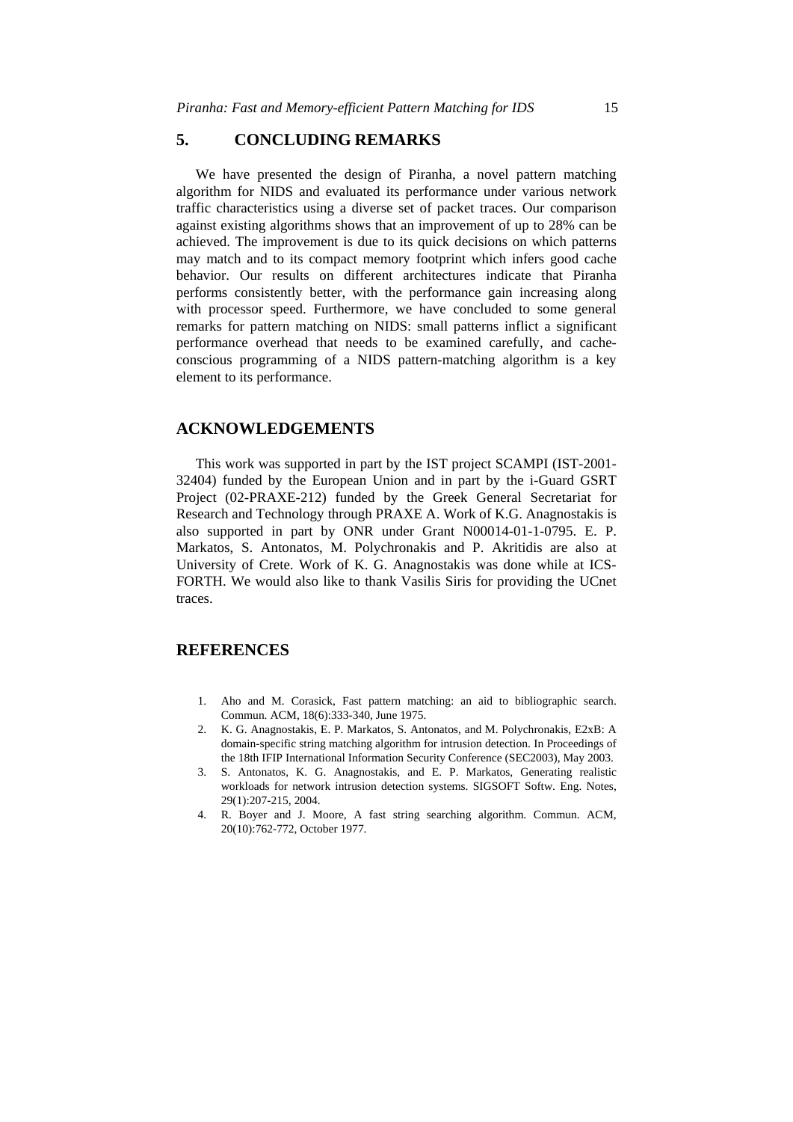## **5. CONCLUDING REMARKS**

We have presented the design of Piranha, a novel pattern matching algorithm for NIDS and evaluated its performance under various network traffic characteristics using a diverse set of packet traces. Our comparison against existing algorithms shows that an improvement of up to 28% can be achieved. The improvement is due to its quick decisions on which patterns may match and to its compact memory footprint which infers good cache behavior. Our results on different architectures indicate that Piranha performs consistently better, with the performance gain increasing along with processor speed. Furthermore, we have concluded to some general remarks for pattern matching on NIDS: small patterns inflict a significant performance overhead that needs to be examined carefully, and cacheconscious programming of a NIDS pattern-matching algorithm is a key element to its performance.

#### **ACKNOWLEDGEMENTS**

This work was supported in part by the IST project SCAMPI (IST-2001- 32404) funded by the European Union and in part by the i-Guard GSRT Project (02-PRAXE-212) funded by the Greek General Secretariat for Research and Technology through PRAXE A. Work of K.G. Anagnostakis is also supported in part by ONR under Grant N00014-01-1-0795. E. P. Markatos, S. Antonatos, M. Polychronakis and P. Akritidis are also at University of Crete. Work of K. G. Anagnostakis was done while at ICS-FORTH. We would also like to thank Vasilis Siris for providing the UCnet traces.

# **REFERENCES**

- 1. Aho and M. Corasick, Fast pattern matching: an aid to bibliographic search. Commun. ACM, 18(6):333-340, June 1975.
- 2. K. G. Anagnostakis, E. P. Markatos, S. Antonatos, and M. Polychronakis, E2xB: A domain-specific string matching algorithm for intrusion detection. In Proceedings of the 18th IFIP International Information Security Conference (SEC2003), May 2003.
- 3. S. Antonatos, K. G. Anagnostakis, and E. P. Markatos, Generating realistic workloads for network intrusion detection systems. SIGSOFT Softw. Eng. Notes, 29(1):207-215, 2004.
- 4. R. Boyer and J. Moore, A fast string searching algorithm. Commun. ACM, 20(10):762-772, October 1977.